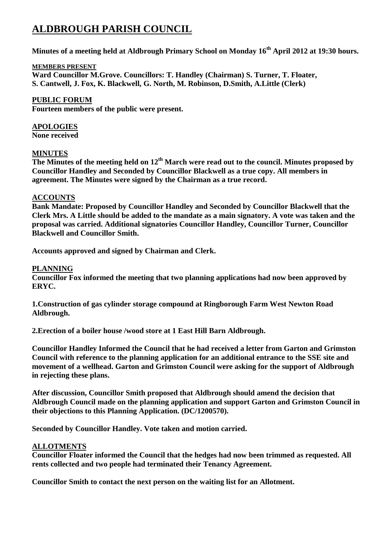# **ALDBROUGH PARISH COUNCIL**

**Minutes of a meeting held at Aldbrough Primary School on Monday 16th April 2012 at 19:30 hours.**

## **MEMBERS PRESENT**

**Ward Councillor M.Grove. Councillors: T. Handley (Chairman) S. Turner, T. Floater, S. Cantwell, J. Fox, K. Blackwell, G. North, M. Robinson, D.Smith, A.Little (Clerk)**

**PUBLIC FORUM Fourteen members of the public were present.**

**APOLOGIES None received**

## **MINUTES**

**The Minutes of the meeting held on 12th March were read out to the council. Minutes proposed by Councillor Handley and Seconded by Councillor Blackwell as a true copy. All members in agreement. The Minutes were signed by the Chairman as a true record.**

## **ACCOUNTS**

**Bank Mandate: Proposed by Councillor Handley and Seconded by Councillor Blackwell that the Clerk Mrs. A Little should be added to the mandate as a main signatory. A vote was taken and the proposal was carried. Additional signatories Councillor Handley, Councillor Turner, Councillor Blackwell and Councillor Smith.**

**Accounts approved and signed by Chairman and Clerk.**

## **PLANNING**

**Councillor Fox informed the meeting that two planning applications had now been approved by ERYC.**

**1.Construction of gas cylinder storage compound at Ringborough Farm West Newton Road Aldbrough.**

**2.Erection of a boiler house /wood store at 1 East Hill Barn Aldbrough.**

**Councillor Handley Informed the Council that he had received a letter from Garton and Grimston Council with reference to the planning application for an additional entrance to the SSE site and movement of a wellhead. Garton and Grimston Council were asking for the support of Aldbrough in rejecting these plans.**

**After discussion, Councillor Smith proposed that Aldbrough should amend the decision that Aldbrough Council made on the planning application and support Garton and Grimston Council in their objections to this Planning Application. (DC/1200570).**

**Seconded by Councillor Handley. Vote taken and motion carried.**

#### **ALLOTMENTS**

**Councillor Floater informed the Council that the hedges had now been trimmed as requested. All rents collected and two people had terminated their Tenancy Agreement.**

**Councillor Smith to contact the next person on the waiting list for an Allotment.**